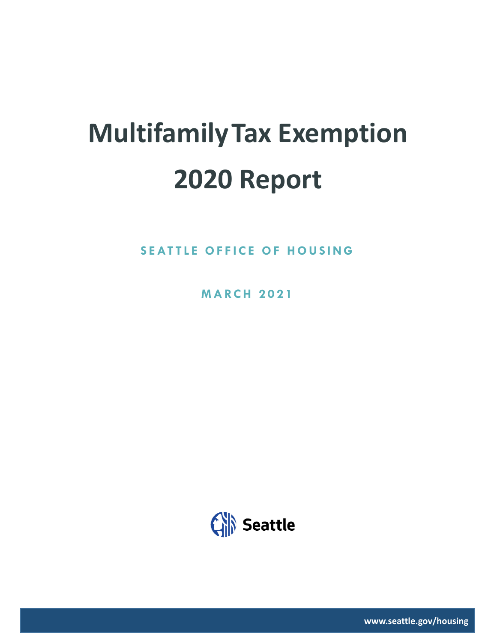# **MultifamilyTax Exemption 2020 Report**

**SEATTLE OFFICE OF HOUSING** 

**M A RC H 2 0 2 1**



**www.seattle.gov/housing**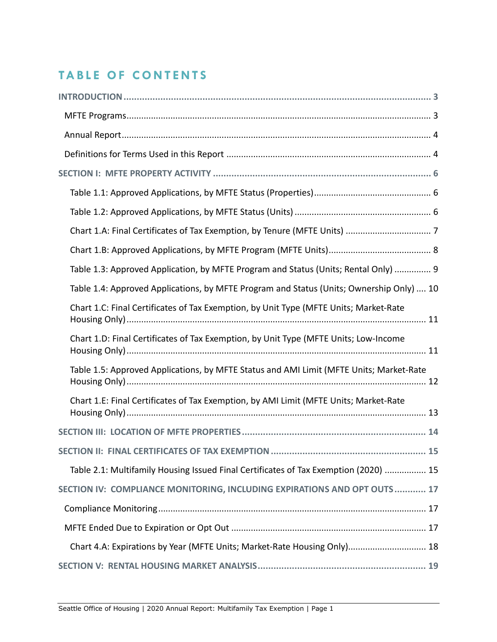## **TABLE OF CONTENTS**

| Table 1.3: Approved Application, by MFTE Program and Status (Units; Rental Only)  9      |
|------------------------------------------------------------------------------------------|
| Table 1.4: Approved Applications, by MFTE Program and Status (Units; Ownership Only)  10 |
| Chart 1.C: Final Certificates of Tax Exemption, by Unit Type (MFTE Units; Market-Rate    |
| Chart 1.D: Final Certificates of Tax Exemption, by Unit Type (MFTE Units; Low-Income     |
| Table 1.5: Approved Applications, by MFTE Status and AMI Limit (MFTE Units; Market-Rate  |
| Chart 1.E: Final Certificates of Tax Exemption, by AMI Limit (MFTE Units; Market-Rate    |
|                                                                                          |
| 15                                                                                       |
| Table 2.1: Multifamily Housing Issued Final Certificates of Tax Exemption (2020)  15     |
| SECTION IV: COMPLIANCE MONITORING, INCLUDING EXPIRATIONS AND OPT OUTS 17                 |
|                                                                                          |
|                                                                                          |
| Chart 4.A: Expirations by Year (MFTE Units; Market-Rate Housing Only) 18                 |
|                                                                                          |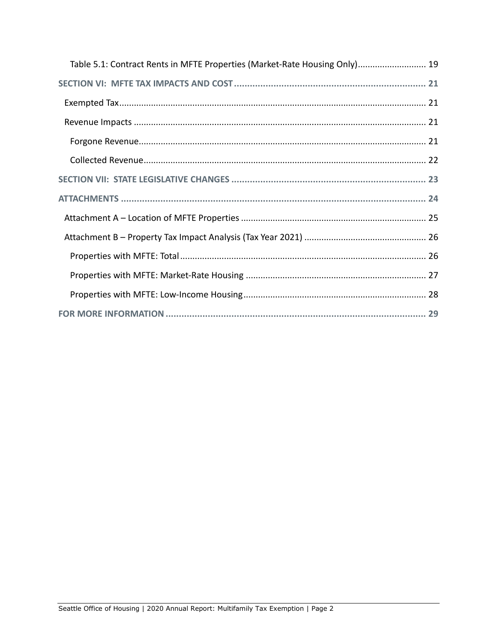| Table 5.1: Contract Rents in MFTE Properties (Market-Rate Housing Only) 19 |
|----------------------------------------------------------------------------|
|                                                                            |
|                                                                            |
|                                                                            |
|                                                                            |
|                                                                            |
|                                                                            |
|                                                                            |
|                                                                            |
|                                                                            |
|                                                                            |
|                                                                            |
|                                                                            |
|                                                                            |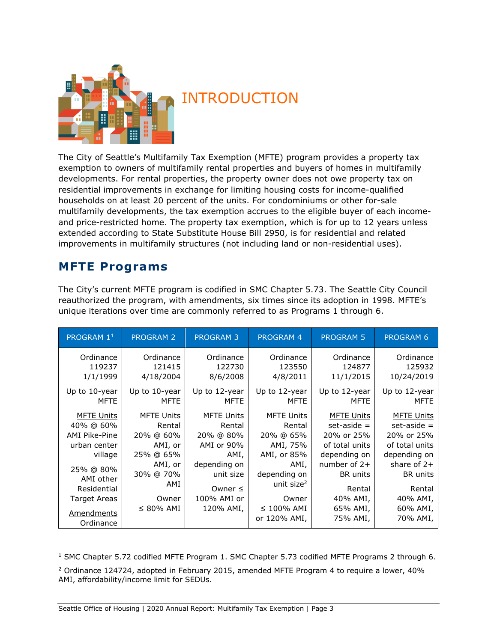

# <span id="page-3-0"></span>INTRODUCTION

The City of Seattle's Multifamily Tax Exemption (MFTE) program provides a property tax exemption to owners of multifamily rental properties and buyers of homes in multifamily developments. For rental properties, the property owner does not owe property tax on residential improvements in exchange for limiting housing costs for income-qualified households on at least 20 percent of the units. For condominiums or other for-sale multifamily developments, the tax exemption accrues to the eligible buyer of each incomeand price-restricted home. The property tax exemption, which is for up to 12 years unless extended according to State Substitute House Bill 2950, is for residential and related improvements in multifamily structures (not including land or non-residential uses).

## <span id="page-3-1"></span>**MFTE Programs**

The City's current MFTE program is codified in SMC Chapter 5.73. The Seattle City Council reauthorized the program, with amendments, six times since its adoption in 1998. MFTE's unique iterations over time are commonly referred to as Programs 1 through 6.

| PROGRAM 1 <sup>1</sup>       | <b>PROGRAM 2</b>             | <b>PROGRAM 3</b>             | <b>PROGRAM 4</b>             | <b>PROGRAM 5</b>      | <b>PROGRAM 6</b>      |
|------------------------------|------------------------------|------------------------------|------------------------------|-----------------------|-----------------------|
| Ordinance<br>119237          | Ordinance<br>121415          | Ordinance<br>122730          | Ordinance<br>123550          | Ordinance<br>124877   | Ordinance<br>125932   |
| 1/1/1999                     | 4/18/2004                    | 8/6/2008                     | 4/8/2011                     | 11/1/2015             | 10/24/2019            |
| Up to 10-year<br><b>MFTE</b> | Up to 10-year<br><b>MFTE</b> | Up to 12-year<br><b>MFTE</b> | Up to 12-year<br><b>MFTE</b> | Up to 12-year<br>MFTE | Up to 12-year<br>MFTE |
| <b>MFTE Units</b>            | <b>MFTE Units</b>            | <b>MFTE Units</b>            | <b>MFTE Units</b>            | <b>MFTE Units</b>     | <b>MFTE Units</b>     |
| 40% @ 60%                    | Rental                       | Rental                       | Rental                       | $set - aside =$       | $set\text{-}aside =$  |
| <b>AMI Pike-Pine</b>         | 20% @ 60%                    | 20% @ 80%                    | 20% @ 65%                    | 20% or 25%            | 20% or 25%            |
| urban center                 | AMI, or                      | AMI or 90%                   | AMI, 75%                     | of total units        | of total units        |
| village                      | 25% @ 65%                    | AMI,                         | AMI, or 85%                  | depending on          | depending on          |
| 25% @ 80%                    | AMI, or                      | depending on                 | AMI,                         | number of $2+$        | share of $2+$         |
| AMI other                    | 30% @ 70%                    | unit size                    | depending on                 | <b>BR</b> units       | <b>BR</b> units       |
| Residential                  | AMI                          | Owner $\leq$                 | unit size <sup>2</sup>       | Rental                | Rental                |
| <b>Target Areas</b>          | Owner                        | 100% AMI or                  | Owner                        | 40% AMI,              | 40% AMI,              |
| <b>Amendments</b>            | $\leq$ 80% AMI               | 120% AMI,                    | $\leq$ 100% AMI              | 65% AMI,              | 60% AMI,              |
| Ordinance                    |                              |                              | or 120% AMI,                 | 75% AMI,              | 70% AMI,              |

<sup>&</sup>lt;sup>1</sup> SMC Chapter 5.72 codified MFTE Program 1. SMC Chapter 5.73 codified MFTE Programs 2 through 6.

<sup>2</sup> Ordinance 124724, adopted in February 2015, amended MFTE Program 4 to require a lower, 40% AMI, affordability/income limit for SEDUs.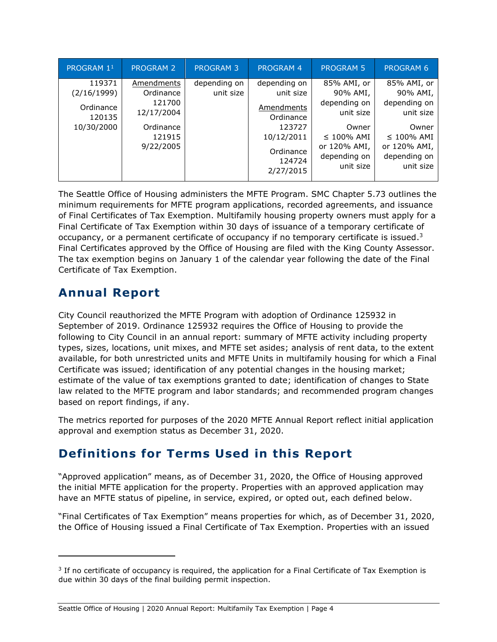| PROGRAM 1 <sup>1</sup>                                     | <b>PROGRAM 2</b>                                                                    | <b>PROGRAM 3</b>          | <b>PROGRAM 4</b>                                                                                                 | <b>PROGRAM 5</b>                                                                                                              | <b>PROGRAM 6</b>                                                                                                              |
|------------------------------------------------------------|-------------------------------------------------------------------------------------|---------------------------|------------------------------------------------------------------------------------------------------------------|-------------------------------------------------------------------------------------------------------------------------------|-------------------------------------------------------------------------------------------------------------------------------|
| 119371<br>(2/16/1999)<br>Ordinance<br>120135<br>10/30/2000 | Amendments<br>Ordinance<br>121700<br>12/17/2004<br>Ordinance<br>121915<br>9/22/2005 | depending on<br>unit size | depending on<br>unit size<br>Amendments<br>Ordinance<br>123727<br>10/12/2011<br>Ordinance<br>124724<br>2/27/2015 | 85% AMI, or<br>90% AMI,<br>depending on<br>unit size<br>Owner<br>$\leq$ 100% AMI<br>or 120% AMI,<br>depending on<br>unit size | 85% AMI, or<br>90% AMI,<br>depending on<br>unit size<br>Owner<br>$\leq$ 100% AMI<br>or 120% AMI,<br>depending on<br>unit size |

The Seattle Office of Housing administers the MFTE Program. SMC Chapter 5.73 outlines the minimum requirements for MFTE program applications, recorded agreements, and issuance of Final Certificates of Tax Exemption. Multifamily housing property owners must apply for a Final Certificate of Tax Exemption within 30 days of issuance of a temporary certificate of occupancy, or a permanent certificate of occupancy if no temporary certificate is issued.<sup>3</sup> Final Certificates approved by the Office of Housing are filed with the King County Assessor. The tax exemption begins on January 1 of the calendar year following the date of the Final Certificate of Tax Exemption.

## <span id="page-4-0"></span>**Annual Report**

City Council reauthorized the MFTE Program with adoption of Ordinance 125932 in September of 2019. Ordinance 125932 requires the Office of Housing to provide the following to City Council in an annual report: summary of MFTE activity including property types, sizes, locations, unit mixes, and MFTE set asides; analysis of rent data, to the extent available, for both unrestricted units and MFTE Units in multifamily housing for which a Final Certificate was issued; identification of any potential changes in the housing market; estimate of the value of tax exemptions granted to date; identification of changes to State law related to the MFTE program and labor standards; and recommended program changes based on report findings, if any.

The metrics reported for purposes of the 2020 MFTE Annual Report reflect initial application approval and exemption status as December 31, 2020.

## <span id="page-4-1"></span>**Definitions for Terms Used in this Report**

"Approved application" means, as of December 31, 2020, the Office of Housing approved the initial MFTE application for the property. Properties with an approved application may have an MFTE status of pipeline, in service, expired, or opted out, each defined below.

"Final Certificates of Tax Exemption" means properties for which, as of December 31, 2020, the Office of Housing issued a Final Certificate of Tax Exemption. Properties with an issued

 $3$  If no certificate of occupancy is required, the application for a Final Certificate of Tax Exemption is due within 30 days of the final building permit inspection.

Seattle Office of Housing | 2020 Annual Report: Multifamily Tax Exemption | Page 4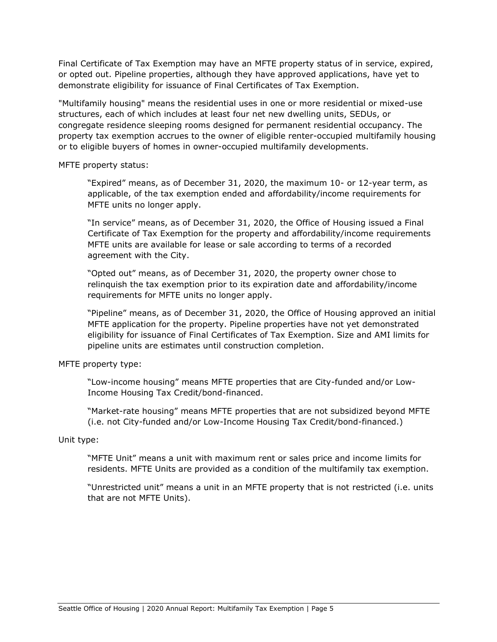Final Certificate of Tax Exemption may have an MFTE property status of in service, expired, or opted out. Pipeline properties, although they have approved applications, have yet to demonstrate eligibility for issuance of Final Certificates of Tax Exemption.

"Multifamily housing" means the residential uses in one or more residential or mixed-use structures, each of which includes at least four net new dwelling units, SEDUs, or congregate residence sleeping rooms designed for permanent residential occupancy. The property tax exemption accrues to the owner of eligible renter-occupied multifamily housing or to eligible buyers of homes in owner-occupied multifamily developments.

MFTE property status:

"Expired" means, as of December 31, 2020, the maximum 10- or 12-year term, as applicable, of the tax exemption ended and affordability/income requirements for MFTE units no longer apply.

"In service" means, as of December 31, 2020, the Office of Housing issued a Final Certificate of Tax Exemption for the property and affordability/income requirements MFTE units are available for lease or sale according to terms of a recorded agreement with the City.

"Opted out" means, as of December 31, 2020, the property owner chose to relinquish the tax exemption prior to its expiration date and affordability/income requirements for MFTE units no longer apply.

"Pipeline" means, as of December 31, 2020, the Office of Housing approved an initial MFTE application for the property. Pipeline properties have not yet demonstrated eligibility for issuance of Final Certificates of Tax Exemption. Size and AMI limits for pipeline units are estimates until construction completion.

MFTE property type:

"Low-income housing" means MFTE properties that are City-funded and/or Low-Income Housing Tax Credit/bond-financed.

"Market-rate housing" means MFTE properties that are not subsidized beyond MFTE (i.e. not City-funded and/or Low-Income Housing Tax Credit/bond-financed.)

#### Unit type:

"MFTE Unit" means a unit with maximum rent or sales price and income limits for residents. MFTE Units are provided as a condition of the multifamily tax exemption.

"Unrestricted unit" means a unit in an MFTE property that is not restricted (i.e. units that are not MFTE Units).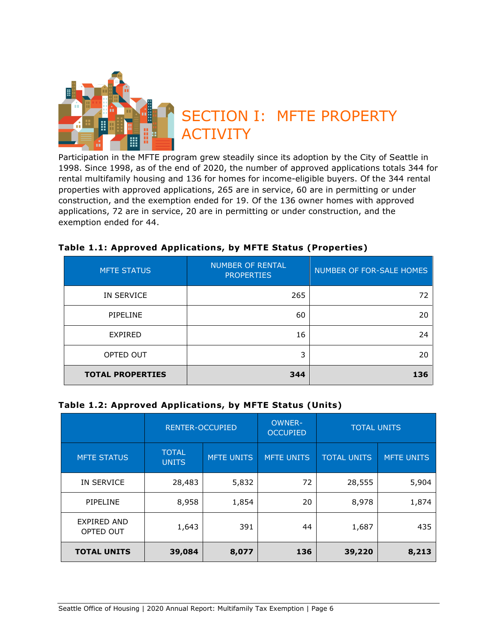<span id="page-6-0"></span>

Participation in the MFTE program grew steadily since its adoption by the City of Seattle in 1998. Since 1998, as of the end of 2020, the number of approved applications totals 344 for rental multifamily housing and 136 for homes for income-eligible buyers. Of the 344 rental properties with approved applications, 265 are in service, 60 are in permitting or under construction, and the exemption ended for 19. Of the 136 owner homes with approved applications, 72 are in service, 20 are in permitting or under construction, and the exemption ended for 44.

| <b>MFTE STATUS</b>      | <b>NUMBER OF RENTAL</b><br><b>PROPERTIES</b> | NUMBER OF FOR-SALE HOMES |
|-------------------------|----------------------------------------------|--------------------------|
| IN SERVICE              | 265                                          | 72                       |
| PIPELINE                | 60                                           | 20                       |
| <b>EXPIRED</b>          | 16                                           | 24                       |
| OPTED OUT               | 3                                            | 20                       |
| <b>TOTAL PROPERTIES</b> | 344                                          | 136                      |

#### <span id="page-6-1"></span>**Table 1.1: Approved Applications, by MFTE Status (Properties)**

#### <span id="page-6-2"></span>**Table 1.2: Approved Applications, by MFTE Status (Units)**

|                                 | <b>RENTER-OCCUPIED</b>       |                   | <b>OWNER-</b><br><b>OCCUPIED</b> | <b>TOTAL UNITS</b> |                   |
|---------------------------------|------------------------------|-------------------|----------------------------------|--------------------|-------------------|
| <b>MFTE STATUS</b>              | <b>TOTAL</b><br><b>UNITS</b> | <b>MFTE UNITS</b> | <b>MFTE UNITS</b>                | <b>TOTAL UNITS</b> | <b>MFTE UNITS</b> |
| IN SERVICE                      | 28,483                       | 5,832             | 72                               | 28,555             | 5,904             |
| PIPELINE                        | 8,958                        | 1,854             | 20                               | 8,978              | 1,874             |
| <b>EXPIRED AND</b><br>OPTED OUT | 1,643                        | 391               | 44                               | 1,687              | 435               |
| <b>TOTAL UNITS</b>              | 39,084                       | 8,077             | 136                              | 39,220             | 8,213             |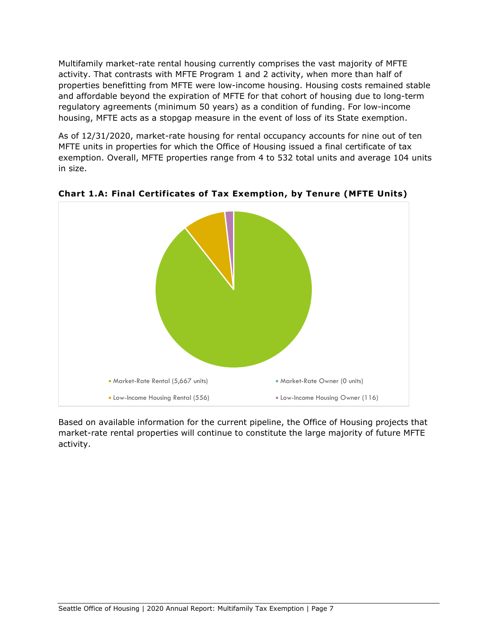Multifamily market-rate rental housing currently comprises the vast majority of MFTE activity. That contrasts with MFTE Program 1 and 2 activity, when more than half of properties benefitting from MFTE were low-income housing. Housing costs remained stable and affordable beyond the expiration of MFTE for that cohort of housing due to long-term regulatory agreements (minimum 50 years) as a condition of funding. For low-income housing, MFTE acts as a stopgap measure in the event of loss of its State exemption.

As of 12/31/2020, market-rate housing for rental occupancy accounts for nine out of ten MFTE units in properties for which the Office of Housing issued a final certificate of tax exemption. Overall, MFTE properties range from 4 to 532 total units and average 104 units in size.



<span id="page-7-0"></span>**Chart 1.A: Final Certificates of Tax Exemption, by Tenure (MFTE Units)**

Based on available information for the current pipeline, the Office of Housing projects that market-rate rental properties will continue to constitute the large majority of future MFTE activity.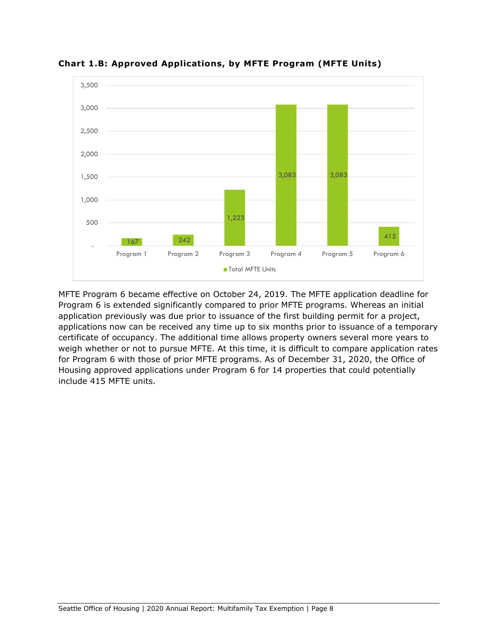

<span id="page-8-0"></span>**Chart 1.B: Approved Applications, by MFTE Program (MFTE Units)**

MFTE Program 6 became effective on October 24, 2019. The MFTE application deadline for Program 6 is extended significantly compared to prior MFTE programs. Whereas an initial application previously was due prior to issuance of the first building permit for a project, applications now can be received any time up to six months prior to issuance of a temporary certificate of occupancy. The additional time allows property owners several more years to weigh whether or not to pursue MFTE. At this time, it is difficult to compare application rates for Program 6 with those of prior MFTE programs. As of December 31, 2020, the Office of Housing approved applications under Program 6 for 14 properties that could potentially include 415 MFTE units.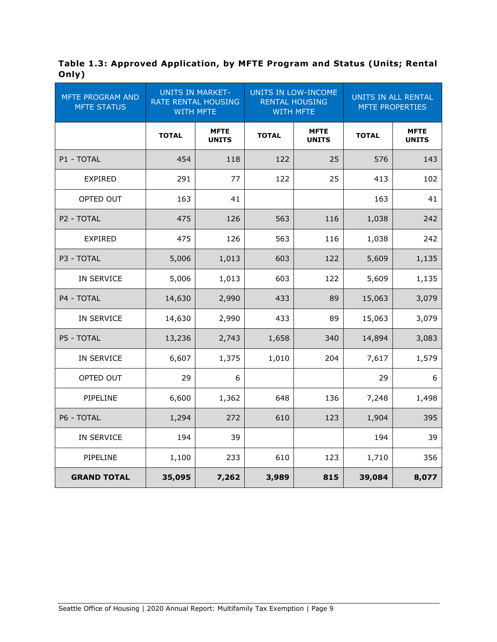<span id="page-9-0"></span>**Table 1.3: Approved Application, by MFTE Program and Status (Units; Rental Only)**

| <b>MFTE PROGRAM AND</b><br><b>MFTE STATUS</b> | <b>UNITS IN MARKET-</b><br><b>RATE RENTAL HOUSING</b><br><b>WITH MFTE</b> |                             | UNITS IN LOW-INCOME<br><b>RENTAL HOUSING</b><br><b>WITH MFTE</b> |                             | UNITS IN ALL RENTAL<br><b>MFTE PROPERTIES</b> |                             |
|-----------------------------------------------|---------------------------------------------------------------------------|-----------------------------|------------------------------------------------------------------|-----------------------------|-----------------------------------------------|-----------------------------|
|                                               | <b>TOTAL</b>                                                              | <b>MFTE</b><br><b>UNITS</b> | <b>TOTAL</b>                                                     | <b>MFTE</b><br><b>UNITS</b> | <b>TOTAL</b>                                  | <b>MFTE</b><br><b>UNITS</b> |
| P1 - TOTAL                                    | 454                                                                       | 118                         | 122                                                              | 25                          | 576                                           | 143                         |
| <b>EXPIRED</b>                                | 291                                                                       | 77                          | 122                                                              | 25                          | 413                                           | 102                         |
| OPTED OUT                                     | 163                                                                       | 41                          |                                                                  |                             | 163                                           | 41                          |
| P2 - TOTAL                                    | 475                                                                       | 126                         | 563                                                              | 116                         | 1,038                                         | 242                         |
| <b>EXPIRED</b>                                | 475                                                                       | 126                         | 563                                                              | 116                         | 1,038                                         | 242                         |
| P3 - TOTAL                                    | 5,006                                                                     | 1,013                       | 603                                                              | 122                         | 5,609                                         | 1,135                       |
| IN SERVICE                                    | 5,006                                                                     | 1,013                       | 603                                                              | 122                         | 5,609                                         | 1,135                       |
| P4 - TOTAL                                    | 14,630                                                                    | 2,990                       | 433                                                              | 89                          | 15,063                                        | 3,079                       |
| IN SERVICE                                    | 14,630                                                                    | 2,990                       | 433                                                              | 89                          | 15,063                                        | 3,079                       |
| P5 - TOTAL                                    | 13,236                                                                    | 2,743                       | 1,658                                                            | 340                         | 14,894                                        | 3,083                       |
| IN SERVICE                                    | 6,607                                                                     | 1,375                       | 1,010                                                            | 204                         | 7,617                                         | 1,579                       |
| OPTED OUT                                     | 29                                                                        | 6                           |                                                                  |                             | 29                                            | 6                           |
| PIPELINE                                      | 6,600                                                                     | 1,362                       | 648                                                              | 136                         | 7,248                                         | 1,498                       |
| P6 - TOTAL                                    | 1,294                                                                     | 272                         | 610                                                              | 123                         | 1,904                                         | 395                         |
| IN SERVICE                                    | 194                                                                       | 39                          |                                                                  |                             | 194                                           | 39                          |
| PIPELINE                                      | 1,100                                                                     | 233                         | 610                                                              | 123                         | 1,710                                         | 356                         |
| <b>GRAND TOTAL</b>                            | 35,095                                                                    | 7,262                       | 3,989                                                            | 815                         | 39,084                                        | 8,077                       |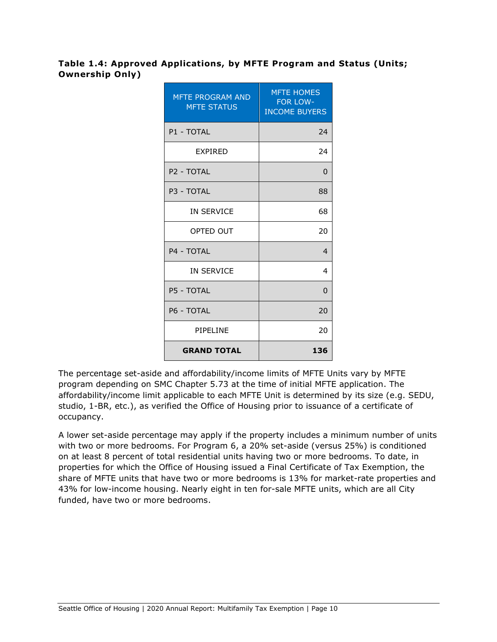#### <span id="page-10-0"></span>**Table 1.4: Approved Applications, by MFTE Program and Status (Units; Ownership Only)**

| <b>MFTE PROGRAM AND</b><br><b>MFTE STATUS</b> | <b>MFTE HOMES</b><br><b>FOR LOW-</b><br><b>INCOME BUYERS</b> |
|-----------------------------------------------|--------------------------------------------------------------|
| P1 - TOTAL                                    | 24                                                           |
| <b>EXPIRED</b>                                | 24                                                           |
| P <sub>2</sub> - TOTAL                        | $\Omega$                                                     |
| P3 - TOTAL                                    | 88                                                           |
| <b>IN SERVICE</b>                             | 68                                                           |
| OPTED OUT                                     | 20                                                           |
| P4 - TOTAI                                    | $\overline{4}$                                               |
| <b>IN SERVICE</b>                             | 4                                                            |
| P5 - TOTAL                                    | $\Omega$                                                     |
| P6 - TOTAL                                    | 20                                                           |
| PIPELINE                                      | 20                                                           |
| <b>GRAND TOTAL</b>                            | 136                                                          |

The percentage set-aside and affordability/income limits of MFTE Units vary by MFTE program depending on SMC Chapter 5.73 at the time of initial MFTE application. The affordability/income limit applicable to each MFTE Unit is determined by its size (e.g. SEDU, studio, 1-BR, etc.), as verified the Office of Housing prior to issuance of a certificate of occupancy.

A lower set-aside percentage may apply if the property includes a minimum number of units with two or more bedrooms. For Program 6, a 20% set-aside (versus 25%) is conditioned on at least 8 percent of total residential units having two or more bedrooms. To date, in properties for which the Office of Housing issued a Final Certificate of Tax Exemption, the share of MFTE units that have two or more bedrooms is 13% for market-rate properties and 43% for low-income housing. Nearly eight in ten for-sale MFTE units, which are all City funded, have two or more bedrooms.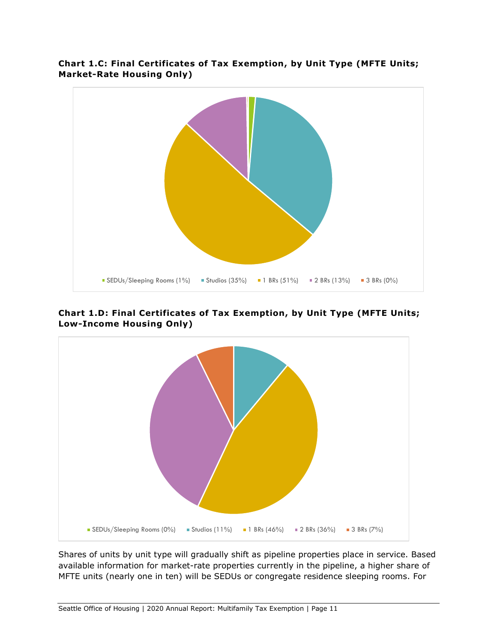

### <span id="page-11-0"></span>**Chart 1.C: Final Certificates of Tax Exemption, by Unit Type (MFTE Units; Market-Rate Housing Only)**

<span id="page-11-1"></span>**Chart 1.D: Final Certificates of Tax Exemption, by Unit Type (MFTE Units; Low-Income Housing Only)**



Shares of units by unit type will gradually shift as pipeline properties place in service. Based available information for market-rate properties currently in the pipeline, a higher share of MFTE units (nearly one in ten) will be SEDUs or congregate residence sleeping rooms. For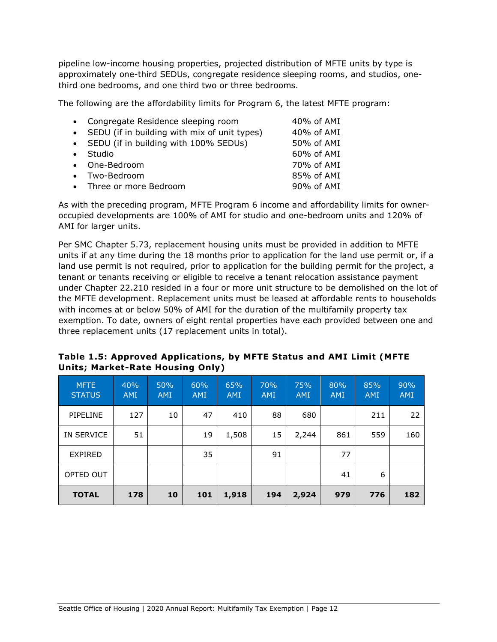pipeline low-income housing properties, projected distribution of MFTE units by type is approximately one-third SEDUs, congregate residence sleeping rooms, and studios, onethird one bedrooms, and one third two or three bedrooms.

The following are the affordability limits for Program 6, the latest MFTE program:

| • Congregate Residence sleeping room           | 40% of AMI |
|------------------------------------------------|------------|
| • SEDU (if in building with mix of unit types) | 40% of AMI |
| • SEDU (if in building with 100% SEDUs)        | 50% of AMI |
| • Studio                                       | 60% of AMI |
| • One-Bedroom                                  | 70% of AMI |
| • Two-Bedroom                                  | 85% of AMI |
| • Three or more Bedroom                        | 90% of AMI |
|                                                |            |

As with the preceding program, MFTE Program 6 income and affordability limits for owneroccupied developments are 100% of AMI for studio and one-bedroom units and 120% of AMI for larger units.

Per SMC Chapter 5.73, replacement housing units must be provided in addition to MFTE units if at any time during the 18 months prior to application for the land use permit or, if a land use permit is not required, prior to application for the building permit for the project, a tenant or tenants receiving or eligible to receive a tenant relocation assistance payment under Chapter 22.210 resided in a four or more unit structure to be demolished on the lot of the MFTE development. Replacement units must be leased at affordable rents to households with incomes at or below 50% of AMI for the duration of the multifamily property tax exemption. To date, owners of eight rental properties have each provided between one and three replacement units (17 replacement units in total).

<span id="page-12-0"></span>

| Table 1.5: Approved Applications, by MFTE Status and AMI Limit (MFTE |  |
|----------------------------------------------------------------------|--|
| Units; Market-Rate Housing Only)                                     |  |

| <b>MFTE</b><br><b>STATUS</b> | 40%<br><b>AMI</b> | 50%<br><b>AMI</b> | 60%<br><b>AMI</b> | 65%<br><b>AMI</b> | 70%<br><b>AMI</b> | 75%<br><b>AMI</b> | 80%<br><b>AMI</b> | 85%<br><b>AMI</b> | 90%<br><b>AMI</b> |
|------------------------------|-------------------|-------------------|-------------------|-------------------|-------------------|-------------------|-------------------|-------------------|-------------------|
| PIPELINE                     | 127               | 10                | 47                | 410               | 88                | 680               |                   | 211               | 22                |
| IN SERVICE                   | 51                |                   | 19                | 1,508             | 15                | 2,244             | 861               | 559               | 160               |
| <b>EXPIRED</b>               |                   |                   | 35                |                   | 91                |                   | 77                |                   |                   |
| OPTED OUT                    |                   |                   |                   |                   |                   |                   | 41                | 6                 |                   |
| <b>TOTAL</b>                 | 178               | 10                | 101               | 1,918             | 194               | 2,924             | 979               | 776               | 182               |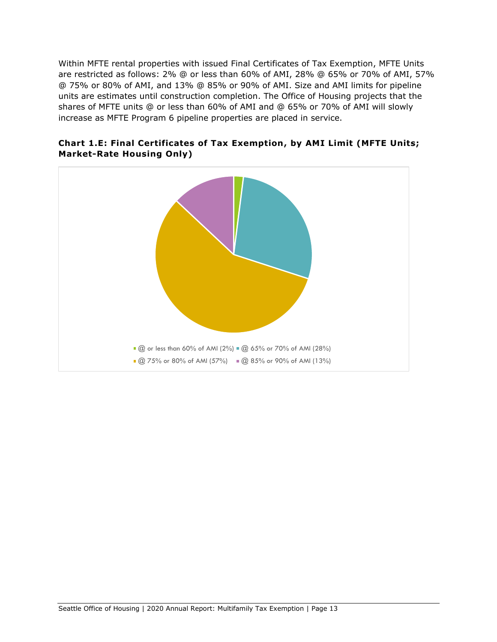Within MFTE rental properties with issued Final Certificates of Tax Exemption, MFTE Units are restricted as follows: 2% @ or less than 60% of AMI, 28% @ 65% or 70% of AMI, 57% @ 75% or 80% of AMI, and 13% @ 85% or 90% of AMI. Size and AMI limits for pipeline units are estimates until construction completion. The Office of Housing projects that the shares of MFTE units @ or less than 60% of AMI and @ 65% or 70% of AMI will slowly increase as MFTE Program 6 pipeline properties are placed in service.



<span id="page-13-0"></span>**Chart 1.E: Final Certificates of Tax Exemption, by AMI Limit (MFTE Units; Market-Rate Housing Only)**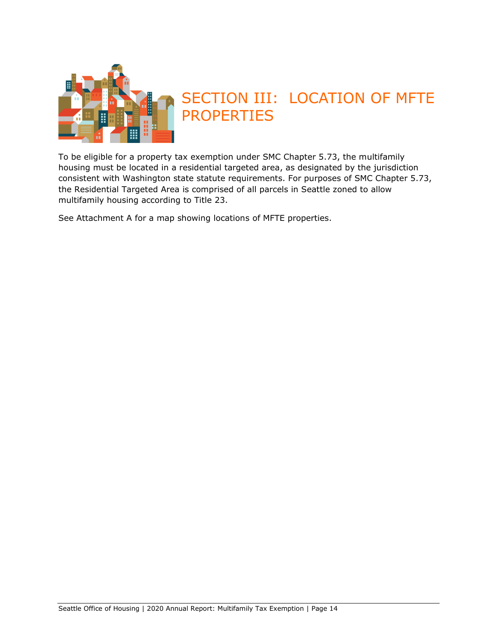

# <span id="page-14-0"></span>SECTION III: LOCATION OF MFTE PROPERTIES

To be eligible for a property tax exemption under SMC Chapter 5.73, the multifamily housing must be located in a residential targeted area, as designated by the jurisdiction consistent with Washington state statute requirements. For purposes of SMC Chapter 5.73, the Residential Targeted Area is comprised of all parcels in Seattle zoned to allow multifamily housing according to Title 23.

See Attachment A for a map showing locations of MFTE properties.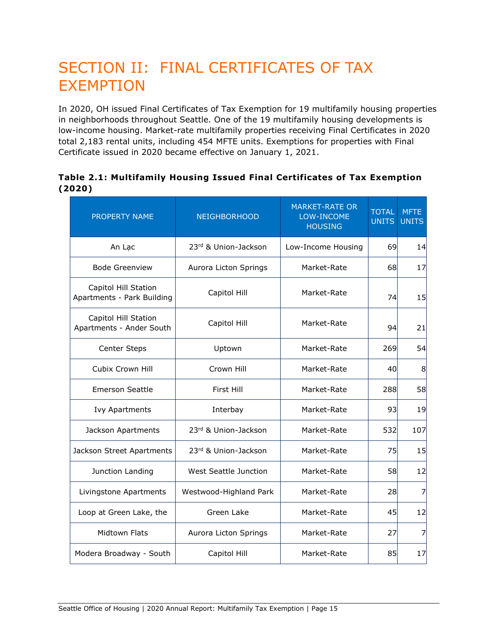# <span id="page-15-0"></span>SECTION II: FINAL CERTIFICATES OF TAX EXEMPTION

In 2020, OH issued Final Certificates of Tax Exemption for 19 multifamily housing properties in neighborhoods throughout Seattle. One of the 19 multifamily housing developments is low-income housing. Market-rate multifamily properties receiving Final Certificates in 2020 total 2,183 rental units, including 454 MFTE units. Exemptions for properties with Final Certificate issued in 2020 became effective on January 1, 2021.

#### <span id="page-15-1"></span>**Table 2.1: Multifamily Housing Issued Final Certificates of Tax Exemption (2020)**

| PROPERTY NAME                                      | <b>NEIGHBORHOOD</b>    | <b>MARKET-RATE OR</b><br>LOW-INCOME<br><b>HOUSING</b> | <b>TOTAL</b><br><b>UNITS</b> | <b>MFTE</b><br><b>UNITS</b> |
|----------------------------------------------------|------------------------|-------------------------------------------------------|------------------------------|-----------------------------|
| An Lac                                             | 23rd & Union-Jackson   | Low-Income Housing                                    | 69                           | 14                          |
| <b>Bode Greenview</b>                              | Aurora Licton Springs  | Market-Rate                                           | 68                           | 17                          |
| Capitol Hill Station<br>Apartments - Park Building | Capitol Hill           | Market-Rate                                           | 74                           | 15                          |
| Capitol Hill Station<br>Apartments - Ander South   | Capitol Hill           | Market-Rate                                           | 94                           | 21                          |
| <b>Center Steps</b>                                | Uptown                 | Market-Rate                                           | 269                          | 54                          |
| Cubix Crown Hill                                   | Crown Hill             | Market-Rate                                           | 40                           | 8                           |
| <b>Emerson Seattle</b>                             | First Hill             | Market-Rate                                           | 288                          | 58                          |
| <b>Ivy Apartments</b>                              | Interbay               | Market-Rate                                           | 93                           | 19                          |
| Jackson Apartments                                 | 23rd & Union-Jackson   | Market-Rate                                           | 532                          | 107                         |
| Jackson Street Apartments                          | 23rd & Union-Jackson   | Market-Rate                                           | 75                           | 15                          |
| Junction Landing                                   | West Seattle Junction  | Market-Rate                                           | 58                           | 12                          |
| Livingstone Apartments                             | Westwood-Highland Park | Market-Rate                                           | 28                           | $\overline{z}$              |
| Loop at Green Lake, the                            | Green Lake             | Market-Rate                                           | 45                           | 12                          |
| <b>Midtown Flats</b>                               | Aurora Licton Springs  | Market-Rate                                           | 27                           | 7                           |
| Modera Broadway - South                            | Capitol Hill           | Market-Rate                                           | 85                           | 17                          |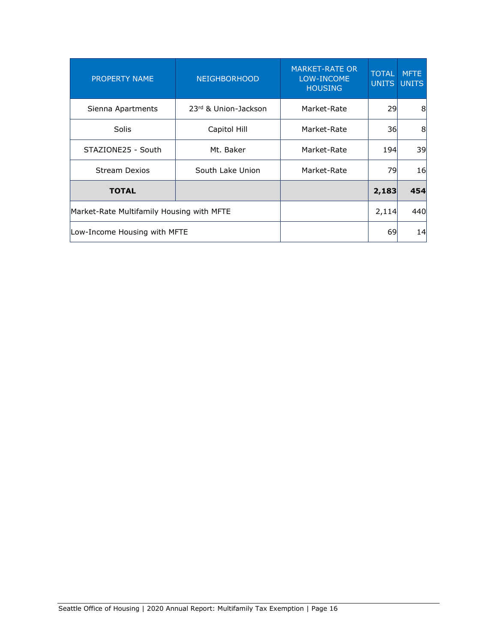| <b>PROPERTY NAME</b>                      | <b>MARKET-RATE OR</b><br>LOW-INCOME<br><b>HOUSING</b> | <b>TOTAL</b><br><b>UNITS</b> | <b>MFTE</b><br><b>UNITS</b> |     |
|-------------------------------------------|-------------------------------------------------------|------------------------------|-----------------------------|-----|
| Sienna Apartments                         | 23rd & Union-Jackson                                  | Market-Rate                  | 29                          | 8   |
| <b>Solis</b>                              | Capitol Hill                                          | Market-Rate                  | 36                          | 8   |
| STAZIONE25 - South                        | Market-Rate                                           | <b>194</b>                   | 39                          |     |
| <b>Stream Dexios</b>                      | Market-Rate                                           | 79                           | 16                          |     |
| <b>TOTAL</b>                              |                                                       |                              | 2,183                       | 454 |
| Market-Rate Multifamily Housing with MFTE |                                                       | 2,114                        | 440                         |     |
| Low-Income Housing with MFTE              |                                                       | 69                           | 14                          |     |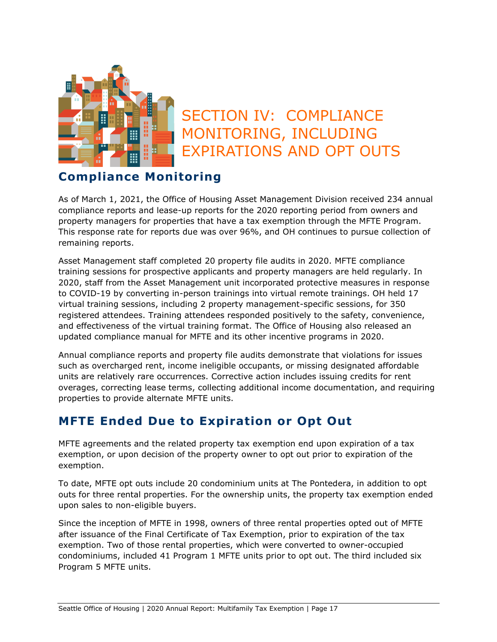

# <span id="page-17-0"></span>SECTION IV: COMPLIANCE MONITORING, INCLUDING EXPIRATIONS AND OPT OUTS

## <span id="page-17-1"></span>**Compliance Monitoring**

As of March 1, 2021, the Office of Housing Asset Management Division received 234 annual compliance reports and lease-up reports for the 2020 reporting period from owners and property managers for properties that have a tax exemption through the MFTE Program. This response rate for reports due was over 96%, and OH continues to pursue collection of remaining reports.

Asset Management staff completed 20 property file audits in 2020. MFTE compliance training sessions for prospective applicants and property managers are held regularly. In 2020, staff from the Asset Management unit incorporated protective measures in response to COVID-19 by converting in-person trainings into virtual remote trainings. OH held 17 virtual training sessions, including 2 property management-specific sessions, for 350 registered attendees. Training attendees responded positively to the safety, convenience, and effectiveness of the virtual training format. The Office of Housing also released an updated compliance manual for MFTE and its other incentive programs in 2020.

Annual compliance reports and property file audits demonstrate that violations for issues such as overcharged rent, income ineligible occupants, or missing designated affordable units are relatively rare occurrences. Corrective action includes issuing credits for rent overages, correcting lease terms, collecting additional income documentation, and requiring properties to provide alternate MFTE units.

## <span id="page-17-2"></span>**MFTE Ended Due to Expiration or Opt Out**

MFTE agreements and the related property tax exemption end upon expiration of a tax exemption, or upon decision of the property owner to opt out prior to expiration of the exemption.

To date, MFTE opt outs include 20 condominium units at The Pontedera, in addition to opt outs for three rental properties. For the ownership units, the property tax exemption ended upon sales to non-eligible buyers.

Since the inception of MFTE in 1998, owners of three rental properties opted out of MFTE after issuance of the Final Certificate of Tax Exemption, prior to expiration of the tax exemption. Two of those rental properties, which were converted to owner-occupied condominiums, included 41 Program 1 MFTE units prior to opt out. The third included six Program 5 MFTE units.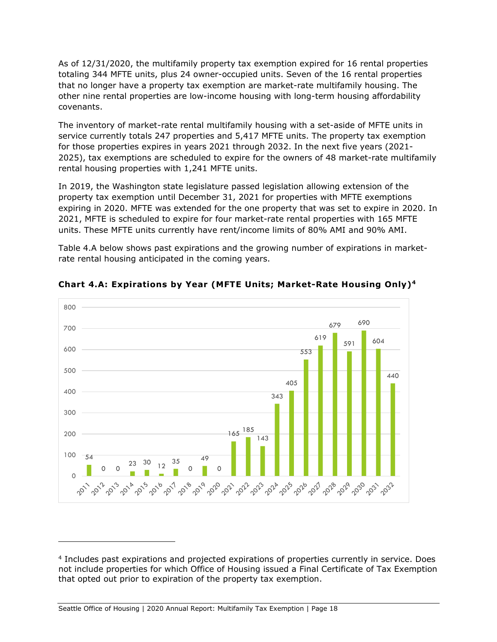As of 12/31/2020, the multifamily property tax exemption expired for 16 rental properties totaling 344 MFTE units, plus 24 owner-occupied units. Seven of the 16 rental properties that no longer have a property tax exemption are market-rate multifamily housing. The other nine rental properties are low-income housing with long-term housing affordability covenants.

The inventory of market-rate rental multifamily housing with a set-aside of MFTE units in service currently totals 247 properties and 5,417 MFTE units. The property tax exemption for those properties expires in years 2021 through 2032. In the next five years (2021- 2025), tax exemptions are scheduled to expire for the owners of 48 market-rate multifamily rental housing properties with 1,241 MFTE units.

In 2019, the Washington state legislature passed legislation allowing extension of the property tax exemption until December 31, 2021 for properties with MFTE exemptions expiring in 2020. MFTE was extended for the one property that was set to expire in 2020. In 2021, MFTE is scheduled to expire for four market-rate rental properties with 165 MFTE units. These MFTE units currently have rent/income limits of 80% AMI and 90% AMI.

Table 4.A below shows past expirations and the growing number of expirations in marketrate rental housing anticipated in the coming years.



<span id="page-18-0"></span>**Chart 4.A: Expirations by Year (MFTE Units; Market-Rate Housing Only)<sup>4</sup>**

<sup>4</sup> Includes past expirations and projected expirations of properties currently in service. Does not include properties for which Office of Housing issued a Final Certificate of Tax Exemption that opted out prior to expiration of the property tax exemption.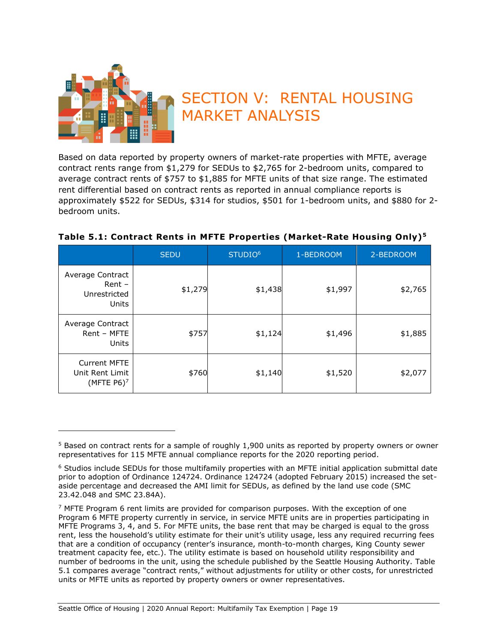

# <span id="page-19-0"></span>SECTION V: RENTAL HOUSING MARKET ANALYSIS

Based on data reported by property owners of market-rate properties with MFTE, average contract rents range from \$1,279 for SEDUs to \$2,765 for 2-bedroom units, compared to average contract rents of \$757 to \$1,885 for MFTE units of that size range. The estimated rent differential based on contract rents as reported in annual compliance reports is approximately \$522 for SEDUs, \$314 for studios, \$501 for 1-bedroom units, and \$880 for 2 bedroom units.

|                                                                     | <b>SEDU</b> | STUDIO <sup>6</sup> | 1-BEDROOM | 2-BEDROOM |
|---------------------------------------------------------------------|-------------|---------------------|-----------|-----------|
| Average Contract<br>$Rent -$<br>Unrestricted<br>Units               | \$1,279     | \$1,438             | \$1,997   | \$2,765   |
| Average Contract<br>Rent - MFTE<br>Units                            | \$757       | \$1,124             | \$1,496   | \$1,885   |
| <b>Current MFTE</b><br>Unit Rent Limit<br>(MFTE $P6$ ) <sup>7</sup> | \$760       | \$1,140             | \$1,520   | \$2,077   |

#### <span id="page-19-1"></span>**Table 5.1: Contract Rents in MFTE Properties (Market-Rate Housing Only)<sup>5</sup>**

<sup>5</sup> Based on contract rents for a sample of roughly 1,900 units as reported by property owners or owner representatives for 115 MFTE annual compliance reports for the 2020 reporting period.

<sup>6</sup> Studios include SEDUs for those multifamily properties with an MFTE initial application submittal date prior to adoption of Ordinance 124724. Ordinance 124724 (adopted February 2015) increased the setaside percentage and decreased the AMI limit for SEDUs, as defined by the land use code (SMC 23.42.048 and SMC 23.84A).

 $<sup>7</sup>$  MFTE Program 6 rent limits are provided for comparison purposes. With the exception of one</sup> Program 6 MFTE property currently in service, in service MFTE units are in properties participating in MFTE Programs 3, 4, and 5. For MFTE units, the base rent that may be charged is equal to the gross rent, less the household's utility estimate for their unit's utility usage, less any required recurring fees that are a condition of occupancy (renter's insurance, month-to-month charges, King County sewer treatment capacity fee, etc.). The utility estimate is based on household utility responsibility and number of bedrooms in the unit, using the schedule published by the Seattle Housing Authority. Table 5.1 compares average "contract rents," without adjustments for utility or other costs, for unrestricted units or MFTE units as reported by property owners or owner representatives.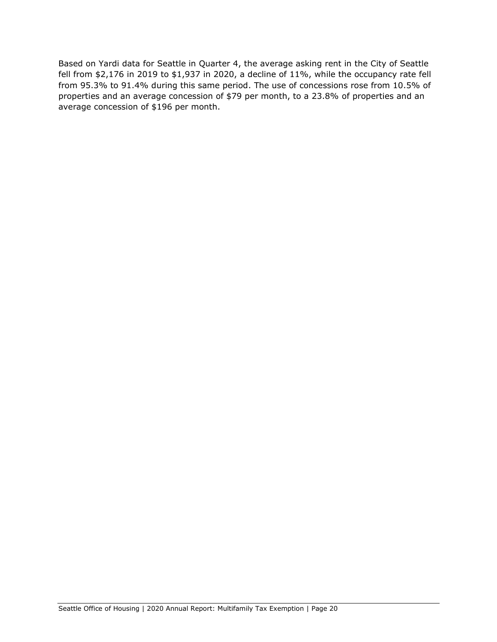Based on Yardi data for Seattle in Quarter 4, the average asking rent in the City of Seattle fell from \$2,176 in 2019 to \$1,937 in 2020, a decline of 11%, while the occupancy rate fell from 95.3% to 91.4% during this same period. The use of concessions rose from 10.5% of properties and an average concession of \$79 per month, to a 23.8% of properties and an average concession of \$196 per month.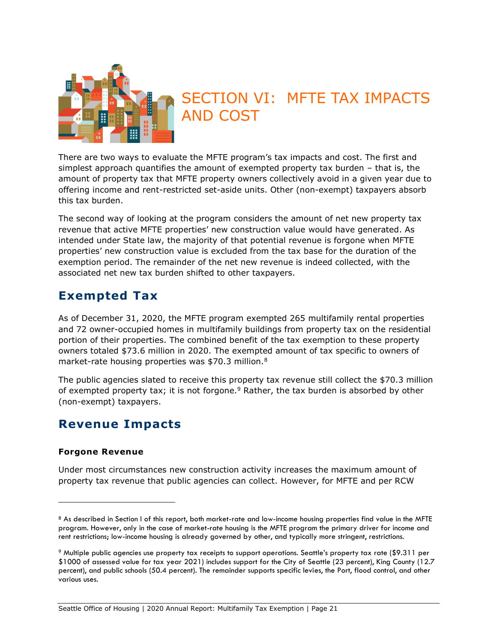

# <span id="page-21-0"></span>SECTION VI: MFTE TAX IMPACTS AND COST

There are two ways to evaluate the MFTE program's tax impacts and cost. The first and simplest approach quantifies the amount of exempted property tax burden – that is, the amount of property tax that MFTE property owners collectively avoid in a given year due to offering income and rent-restricted set-aside units. Other (non-exempt) taxpayers absorb this tax burden.

The second way of looking at the program considers the amount of net new property tax revenue that active MFTE properties' new construction value would have generated. As intended under State law, the majority of that potential revenue is forgone when MFTE properties' new construction value is excluded from the tax base for the duration of the exemption period. The remainder of the net new revenue is indeed collected, with the associated net new tax burden shifted to other taxpayers.

## <span id="page-21-1"></span>**Exempted Tax**

As of December 31, 2020, the MFTE program exempted 265 multifamily rental properties and 72 owner-occupied homes in multifamily buildings from property tax on the residential portion of their properties. The combined benefit of the tax exemption to these property owners totaled \$73.6 million in 2020. The exempted amount of tax specific to owners of market-rate housing properties was \$70.3 million.<sup>8</sup>

The public agencies slated to receive this property tax revenue still collect the \$70.3 million of exempted property tax; it is not forgone. $9$  Rather, the tax burden is absorbed by other (non-exempt) taxpayers.

## <span id="page-21-2"></span>**Revenue Impacts**

#### <span id="page-21-3"></span>**Forgone Revenue**

Under most circumstances new construction activity increases the maximum amount of property tax revenue that public agencies can collect. However, for MFTE and per RCW

<sup>8</sup> As described in Section I of this report, both market-rate and low-income housing properties find value in the MFTE program. However, only in the case of market-rate housing is the MFTE program the primary driver for income and rent restrictions; low-income housing is already governed by other, and typically more stringent, restrictions.

<sup>9</sup> Multiple public agencies use property tax receipts to support operations. Seattle's property tax rate (\$9.311 per \$1000 of assessed value for tax year 2021) includes support for the City of Seattle (23 percent), King County (12.7 percent), and public schools (50.4 percent). The remainder supports specific levies, the Port, flood control, and other various uses.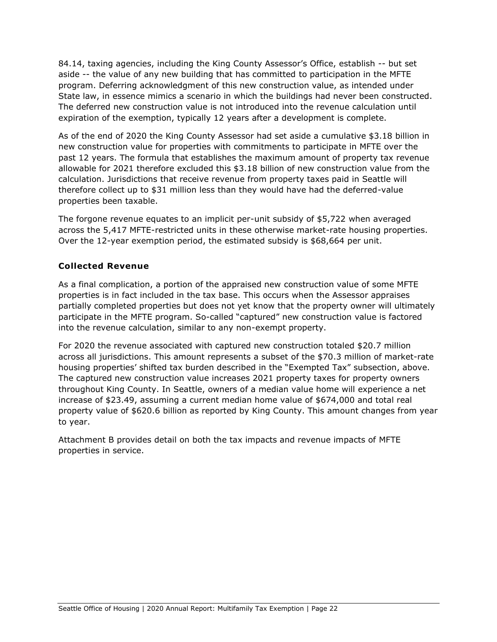84.14, taxing agencies, including the King County Assessor's Office, establish -- but set aside -- the value of any new building that has committed to participation in the MFTE program. Deferring acknowledgment of this new construction value, as intended under State law, in essence mimics a scenario in which the buildings had never been constructed. The deferred new construction value is not introduced into the revenue calculation until expiration of the exemption, typically 12 years after a development is complete.

As of the end of 2020 the King County Assessor had set aside a cumulative \$3.18 billion in new construction value for properties with commitments to participate in MFTE over the past 12 years. The formula that establishes the maximum amount of property tax revenue allowable for 2021 therefore excluded this \$3.18 billion of new construction value from the calculation. Jurisdictions that receive revenue from property taxes paid in Seattle will therefore collect up to \$31 million less than they would have had the deferred-value properties been taxable.

The forgone revenue equates to an implicit per-unit subsidy of \$5,722 when averaged across the 5,417 MFTE-restricted units in these otherwise market-rate housing properties. Over the 12-year exemption period, the estimated subsidy is \$68,664 per unit.

### <span id="page-22-0"></span>**Collected Revenue**

As a final complication, a portion of the appraised new construction value of some MFTE properties is in fact included in the tax base. This occurs when the Assessor appraises partially completed properties but does not yet know that the property owner will ultimately participate in the MFTE program. So-called "captured" new construction value is factored into the revenue calculation, similar to any non-exempt property.

For 2020 the revenue associated with captured new construction totaled \$20.7 million across all jurisdictions. This amount represents a subset of the \$70.3 million of market-rate housing properties' shifted tax burden described in the "Exempted Tax" subsection, above. The captured new construction value increases 2021 property taxes for property owners throughout King County. In Seattle, owners of a median value home will experience a net increase of \$23.49, assuming a current median home value of \$674,000 and total real property value of \$620.6 billion as reported by King County. This amount changes from year to year.

Attachment B provides detail on both the tax impacts and revenue impacts of MFTE properties in service.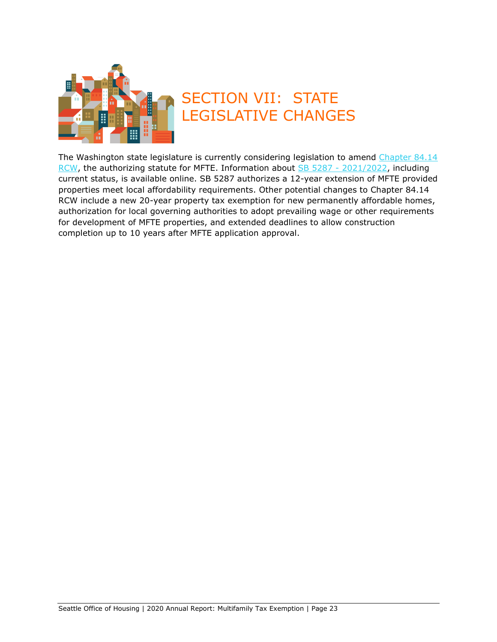

# <span id="page-23-0"></span>SECTION VII: STATE LEGISLATIVE CHANGES

The Washington state legislature is currently considering legislation to amend Chapter 84.14 RCW, the authorizing statute for MFTE. Information about SB 5287 - [2021/2022,](https://app.leg.wa.gov/billsummary?BillNumber=5287&Year=2021&Initiative=false) including current status, is available online. SB 5287 authorizes a 12-year extension of MFTE provided properties meet local affordability requirements. Other potential changes to Chapter 84.14 RCW include a new 20-year property tax exemption for new permanently affordable homes, authorization for local governing authorities to adopt prevailing wage or other requirements for development of MFTE properties, and extended deadlines to allow construction completion up to 10 years after MFTE application approval.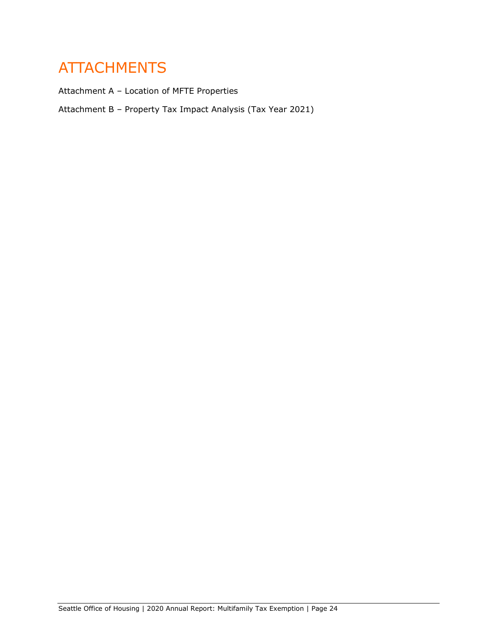# <span id="page-24-0"></span>ATTACHMENTS

Attachment A – Location of MFTE Properties

Attachment B – Property Tax Impact Analysis (Tax Year 2021)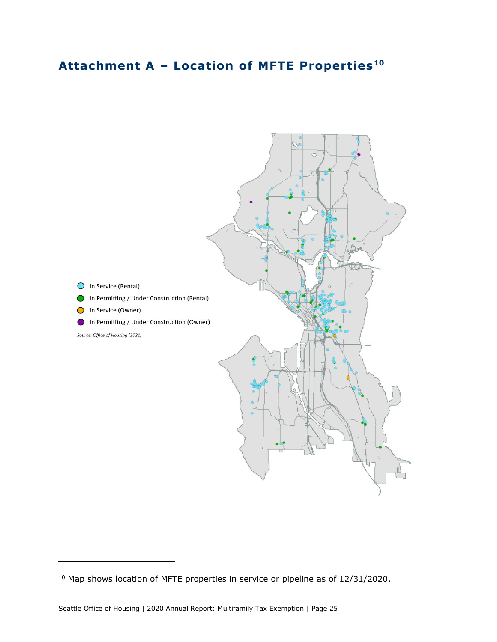## <span id="page-25-0"></span>**Attachment A – Location of MFTE Properties<sup>10</sup>**



<sup>&</sup>lt;sup>10</sup> Map shows location of MFTE properties in service or pipeline as of 12/31/2020.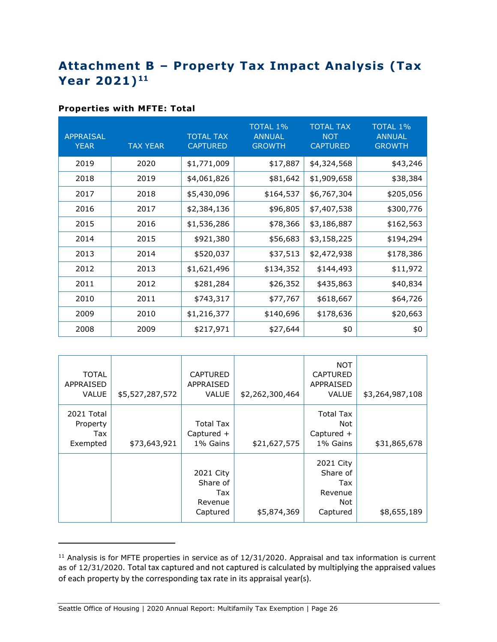## <span id="page-26-0"></span>**Attachment B – Property Tax Impact Analysis (Tax Year 2021) 11**

#### <span id="page-26-1"></span>**Properties with MFTE: Total**

| <b>APPRAISAL</b><br><b>YEAR</b> | <b>TAX YEAR</b> | <b>TOTAL TAX</b><br><b>CAPTURED</b> | <b>TOTAL 1%</b><br><b>ANNUAL</b><br><b>GROWTH</b> | <b>TOTAL TAX</b><br><b>NOT</b><br><b>CAPTURED</b> | <b>TOTAL 1%</b><br><b>ANNUAL</b><br><b>GROWTH</b> |
|---------------------------------|-----------------|-------------------------------------|---------------------------------------------------|---------------------------------------------------|---------------------------------------------------|
| 2019                            | 2020            | \$1,771,009                         | \$17,887                                          | \$4,324,568                                       | \$43,246                                          |
| 2018                            | 2019            | \$4,061,826                         | \$81,642                                          | \$1,909,658                                       | \$38,384                                          |
| 2017                            | 2018            | \$5,430,096                         | \$164,537                                         | \$6,767,304                                       | \$205,056                                         |
| 2016                            | 2017            | \$2,384,136                         | \$96,805                                          | \$7,407,538                                       | \$300,776                                         |
| 2015                            | 2016            | \$1,536,286                         | \$78,366                                          | \$3,186,887                                       | \$162,563                                         |
| 2014                            | 2015            | \$921,380                           | \$56,683                                          | \$3,158,225                                       | \$194,294                                         |
| 2013                            | 2014            | \$520,037                           | \$37,513                                          | \$2,472,938                                       | \$178,386                                         |
| 2012                            | 2013            | \$1,621,496                         | \$134,352                                         | \$144,493                                         | \$11,972                                          |
| 2011                            | 2012            | \$281,284                           | \$26,352                                          | \$435,863                                         | \$40,834                                          |
| 2010                            | 2011            | \$743,317                           | \$77,767                                          | \$618,667                                         | \$64,726                                          |
| 2009                            | 2010            | \$1,216,377                         | \$140,696                                         | \$178,636                                         | \$20,663                                          |
| 2008                            | 2009            | \$217,971                           | \$27,644                                          | \$0                                               | \$0                                               |

| <b>TOTAL</b><br><b>APPRAISED</b><br><b>VALUE</b> | \$5,527,287,572 | <b>CAPTURED</b><br>APPRAISED<br><b>VALUE</b>        | \$2,262,300,464 | <b>NOT</b><br><b>CAPTURED</b><br>APPRAISED<br><b>VALUE</b> | \$3,264,987,108 |
|--------------------------------------------------|-----------------|-----------------------------------------------------|-----------------|------------------------------------------------------------|-----------------|
| 2021 Total<br>Property<br>Tax<br>Exempted        | \$73,643,921    | <b>Total Tax</b><br>Captured $+$<br>1% Gains        | \$21,627,575    | <b>Total Tax</b><br>Not<br>Captured +<br>1% Gains          | \$31,865,678    |
|                                                  |                 | 2021 City<br>Share of<br>Tax<br>Revenue<br>Captured | \$5,874,369     | 2021 City<br>Share of<br>Tax<br>Revenue<br>Not<br>Captured | \$8,655,189     |

<sup>&</sup>lt;sup>11</sup> Analysis is for MFTE properties in service as of 12/31/2020. Appraisal and tax information is current as of 12/31/2020. Total tax captured and not captured is calculated by multiplying the appraised values of each property by the corresponding tax rate in its appraisal year(s).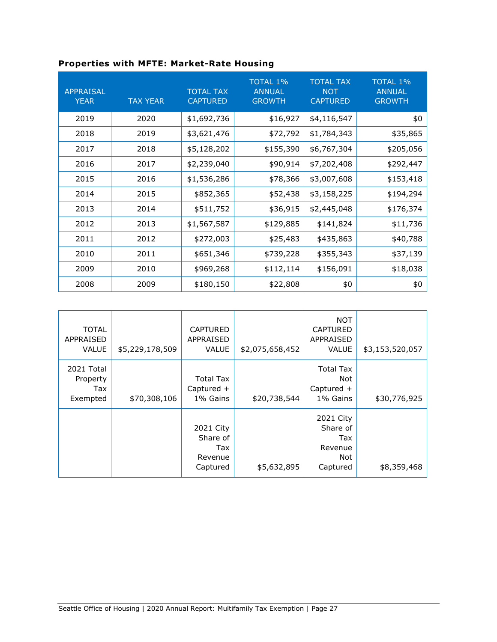<span id="page-27-0"></span>

| <b>APPRAISAL</b><br><b>YEAR</b> | <b>TAX YEAR</b> | <b>TOTAL TAX</b><br><b>CAPTURED</b> | <b>TOTAL 1%</b><br><b>ANNUAL</b><br><b>GROWTH</b> | <b>TOTAL TAX</b><br><b>NOT</b><br><b>CAPTURED</b> | <b>TOTAL 1%</b><br><b>ANNUAL</b><br><b>GROWTH</b> |
|---------------------------------|-----------------|-------------------------------------|---------------------------------------------------|---------------------------------------------------|---------------------------------------------------|
| 2019                            | 2020            | \$1,692,736                         | \$16,927                                          | \$4,116,547                                       | \$0                                               |
| 2018                            | 2019            | \$3,621,476                         | \$72,792                                          | \$1,784,343                                       | \$35,865                                          |
| 2017                            | 2018            | \$5,128,202                         | \$155,390                                         | \$6,767,304                                       | \$205,056                                         |
| 2016                            | 2017            | \$2,239,040                         | \$90,914                                          | \$7,202,408                                       | \$292,447                                         |
| 2015                            | 2016            | \$1,536,286                         | \$78,366                                          | \$3,007,608                                       | \$153,418                                         |
| 2014                            | 2015            | \$852,365                           | \$52,438                                          | \$3,158,225                                       | \$194,294                                         |
| 2013                            | 2014            | \$511,752                           | \$36,915                                          | \$2,445,048                                       | \$176,374                                         |
| 2012                            | 2013            | \$1,567,587                         | \$129,885                                         | \$141,824                                         | \$11,736                                          |
| 2011                            | 2012            | \$272,003                           | \$25,483                                          | \$435,863                                         | \$40,788                                          |
| 2010                            | 2011            | \$651,346                           | \$739,228                                         | \$355,343                                         | \$37,139                                          |
| 2009                            | 2010            | \$969,268                           | \$112,114                                         | \$156,091                                         | \$18,038                                          |
| 2008                            | 2009            | \$180,150                           | \$22,808                                          | \$0                                               | \$0                                               |

| <b>TOTAL</b><br><b>APPRAISED</b><br><b>VALUE</b> | \$5,229,178,509 | <b>CAPTURED</b><br><b>APPRAISED</b><br><b>VALUE</b> | \$2,075,658,452 | <b>NOT</b><br><b>CAPTURED</b><br><b>APPRAISED</b><br><b>VALUE</b> | \$3,153,520,057 |
|--------------------------------------------------|-----------------|-----------------------------------------------------|-----------------|-------------------------------------------------------------------|-----------------|
| 2021 Total<br>Property<br>Tax<br>Exempted        | \$70,308,106    | <b>Total Tax</b><br>Captured +<br>1% Gains          | \$20,738,544    | <b>Total Tax</b><br>Not<br>Captured +<br>1% Gains                 | \$30,776,925    |
|                                                  |                 | 2021 City<br>Share of<br>Tax<br>Revenue<br>Captured | \$5,632,895     | 2021 City<br>Share of<br>Tax<br>Revenue<br>Not<br>Captured        | \$8,359,468     |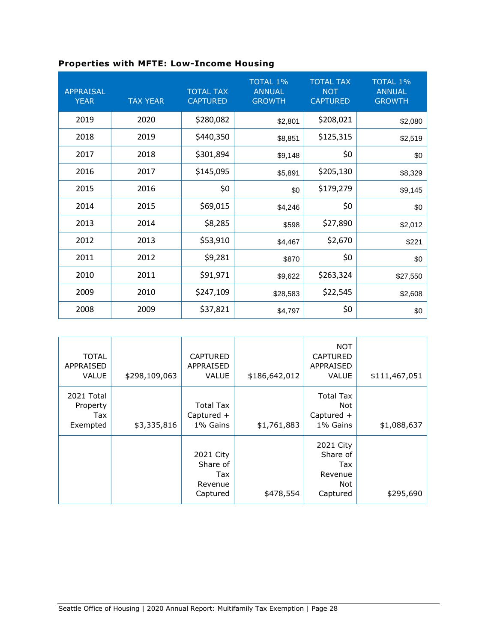<span id="page-28-0"></span>

| <b>Properties with MFTE: Low-Income Housing</b> |  |  |  |  |  |  |
|-------------------------------------------------|--|--|--|--|--|--|
|-------------------------------------------------|--|--|--|--|--|--|

| <b>APPRAISAL</b><br><b>YEAR</b> | <b>TAX YEAR</b> | <b>TOTAL TAX</b><br><b>CAPTURED</b> | <b>TOTAL 1%</b><br><b>ANNUAL</b><br><b>GROWTH</b> | <b>TOTAL TAX</b><br><b>NOT</b><br><b>CAPTURED</b> | <b>TOTAL 1%</b><br><b>ANNUAL</b><br><b>GROWTH</b> |
|---------------------------------|-----------------|-------------------------------------|---------------------------------------------------|---------------------------------------------------|---------------------------------------------------|
| 2019                            | 2020            | \$280,082                           | \$2,801                                           | \$208,021                                         | \$2,080                                           |
| 2018                            | 2019            | \$440,350                           | \$8,851                                           | \$125,315                                         | \$2,519                                           |
| 2017                            | 2018            | \$301,894                           | \$9,148                                           | \$0                                               | \$0                                               |
| 2016                            | 2017            | \$145,095                           | \$5,891                                           | \$205,130                                         | \$8,329                                           |
| 2015                            | 2016            | \$0                                 | \$0                                               | \$179,279                                         | \$9,145                                           |
| 2014                            | 2015            | \$69,015                            | \$4,246                                           | \$0                                               | \$0                                               |
| 2013                            | 2014            | \$8,285                             | \$598                                             | \$27,890                                          | \$2,012                                           |
| 2012                            | 2013            | \$53,910                            | \$4,467                                           | \$2,670                                           | \$221                                             |
| 2011                            | 2012            | \$9,281                             | \$870                                             | \$0                                               | \$0                                               |
| 2010                            | 2011            | \$91,971                            | \$9,622                                           | \$263,324                                         | \$27,550                                          |
| 2009                            | 2010            | \$247,109                           | \$28,583                                          | \$22,545                                          | \$2,608                                           |
| 2008                            | 2009            | \$37,821                            | \$4,797                                           | \$0                                               | \$0                                               |

| <b>TOTAL</b><br><b>APPRAISED</b><br><b>VALUE</b> | \$298,109,063 | <b>CAPTURED</b><br><b>APPRAISED</b><br><b>VALUE</b> | \$186,642,012 | <b>NOT</b><br><b>CAPTURED</b><br><b>APPRAISED</b><br><b>VALUE</b> | \$111,467,051 |
|--------------------------------------------------|---------------|-----------------------------------------------------|---------------|-------------------------------------------------------------------|---------------|
| 2021 Total<br>Property<br>Tax<br>Exempted        | \$3,335,816   | <b>Total Tax</b><br>Captured $+$<br>1% Gains        | \$1,761,883   | <b>Total Tax</b><br>Not<br>Captured $+$<br>1% Gains               | \$1,088,637   |
|                                                  |               | 2021 City<br>Share of<br>Tax<br>Revenue<br>Captured | \$478,554     | 2021 City<br>Share of<br>Tax<br>Revenue<br>Not<br>Captured        | \$295,690     |